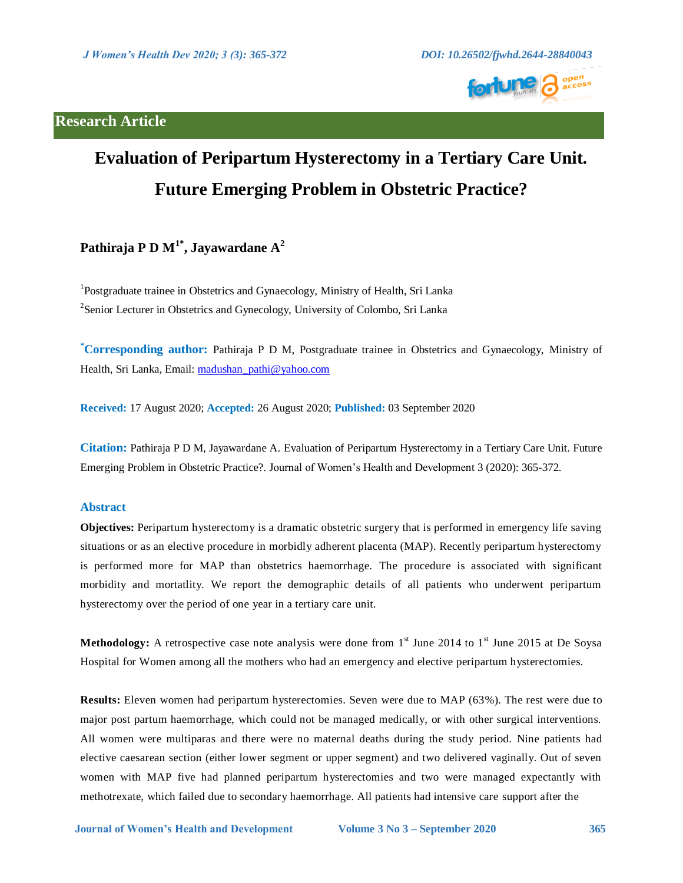## **Research Article**



# **Evaluation of Peripartum Hysterectomy in a Tertiary Care Unit. Future Emerging Problem in Obstetric Practice?**

# **Pathiraja P D M1\* , Jayawardane A 2**

<sup>1</sup>Postgraduate trainee in Obstetrics and Gynaecology, Ministry of Health, Sri Lanka <sup>2</sup> Senior Lecturer in Obstetrics and Gynecology, University of Colombo, Sri Lanka

**\*Corresponding author:** Pathiraja P D M, Postgraduate trainee in Obstetrics and Gynaecology, Ministry of Health, Sri Lanka, Email: [madushan\\_pathi@yahoo.com](mailto:madushan_pathi@yahoo.com)

**Received:** 17 August 2020; **Accepted:** 26 August 2020; **Published:** 03 September 2020

**Citation:** Pathiraja P D M, Jayawardane A. Evaluation of Peripartum Hysterectomy in a Tertiary Care Unit. Future Emerging Problem in Obstetric Practice?. Journal of Women's Health and Development 3 (2020): 365-372.

### **Abstract**

**Objectives:** Peripartum hysterectomy is a dramatic obstetric surgery that is performed in emergency life saving situations or as an elective procedure in morbidly adherent placenta (MAP). Recently peripartum hysterectomy is performed more for MAP than obstetrics haemorrhage. The procedure is associated with significant morbidity and mortatlity. We report the demographic details of all patients who underwent peripartum hysterectomy over the period of one year in a tertiary care unit.

**Methodology:** A retrospective case note analysis were done from  $1<sup>st</sup>$  June 2014 to  $1<sup>st</sup>$  June 2015 at De Soysa Hospital for Women among all the mothers who had an emergency and elective peripartum hysterectomies.

**Results:** Eleven women had peripartum hysterectomies. Seven were due to MAP (63%). The rest were due to major post partum haemorrhage, which could not be managed medically, or with other surgical interventions. All women were multiparas and there were no maternal deaths during the study period. Nine patients had elective caesarean section (either lower segment or upper segment) and two delivered vaginally. Out of seven women with MAP five had planned peripartum hysterectomies and two were managed expectantly with methotrexate, which failed due to secondary haemorrhage. All patients had intensive care support after the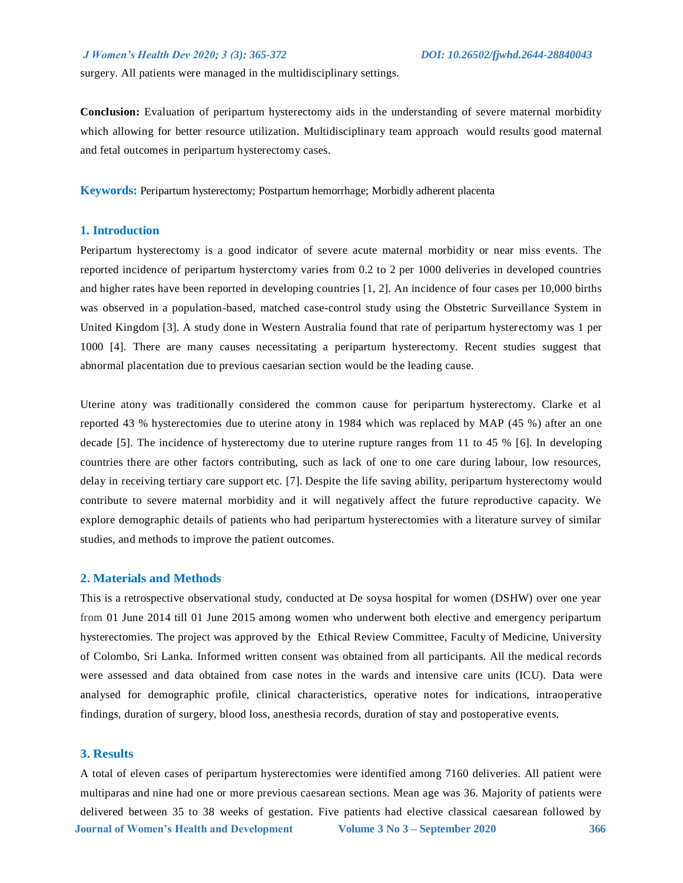surgery. All patients were managed in the multidisciplinary settings.

**Conclusion:** Evaluation of peripartum hysterectomy aids in the understanding of severe maternal morbidity which allowing for better resource utilization. Multidisciplinary team approach would results good maternal and fetal outcomes in peripartum hysterectomy cases.

**Keywords:** Peripartum hysterectomy; Postpartum hemorrhage; Morbidly adherent placenta

### **1. Introduction**

Peripartum hysterectomy is a good indicator of severe acute maternal morbidity or near miss events. The reported incidence of peripartum hysterctomy varies from 0.2 to 2 per 1000 deliveries in developed countries and higher rates have been reported in developing countries [1, 2]. An incidence of four cases per 10,000 births was observed in a population-based, matched case-control study using the Obstetric Surveillance System in United Kingdom [3]. A study done in Western Australia found that rate of peripartum hysterectomy was 1 per 1000 [4]. There are many causes necessitating a peripartum hysterectomy. Recent studies suggest that abnormal placentation due to previous caesarian section would be the leading cause.

Uterine atony was traditionally considered the common cause for peripartum hysterectomy. Clarke et al reported 43 % hysterectomies due to uterine atony in 1984 which was replaced by MAP (45 %) after an one decade [5]. The incidence of hysterectomy due to uterine rupture ranges from 11 to 45 % [6]. In developing countries there are other factors contributing, such as lack of one to one care during labour, low resources, delay in receiving tertiary care support etc. [7]. Despite the life saving ability, peripartum hysterectomy would contribute to severe maternal morbidity and it will negatively affect the future reproductive capacity. We explore demographic details of patients who had peripartum hysterectomies with a literature survey of similar studies, and methods to improve the patient outcomes.

### **2. Materials and Methods**

This is a retrospective observational study, conducted at De soysa hospital for women (DSHW) over one year from 01 June 2014 till 01 June 2015 among women who underwent both elective and emergency peripartum hysterectomies. The project was approved by the Ethical Review Committee, Faculty of Medicine, University of Colombo, Sri Lanka. Informed written consent was obtained from all participants. All the medical records were assessed and data obtained from case notes in the wards and intensive care units (ICU). Data were analysed for demographic profile, clinical characteristics, operative notes for indications, intraoperative findings, duration of surgery, blood loss, anesthesia records, duration of stay and postoperative events.

### **3. Results**

 **Journal of Women's Health and Development Volume 3 No 3 – September 2020 366** A total of eleven cases of peripartum hysterectomies were identified among 7160 deliveries. All patient were multiparas and nine had one or more previous caesarean sections. Mean age was 36. Majority of patients were delivered between 35 to 38 weeks of gestation. Five patients had elective classical caesarean followed by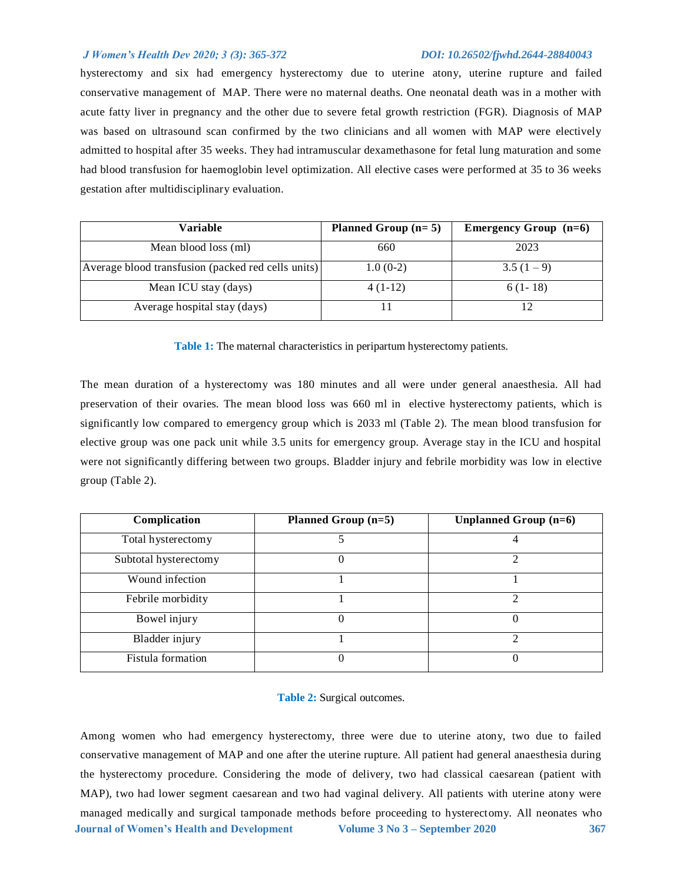hysterectomy and six had emergency hysterectomy due to uterine atony, uterine rupture and failed conservative management of MAP. There were no maternal deaths. One neonatal death was in a mother with acute fatty liver in pregnancy and the other due to severe fetal growth restriction (FGR). Diagnosis of MAP was based on ultrasound scan confirmed by the two clinicians and all women with MAP were electively admitted to hospital after 35 weeks. They had intramuscular dexamethasone for fetal lung maturation and some had blood transfusion for haemoglobin level optimization. All elective cases were performed at 35 to 36 weeks gestation after multidisciplinary evaluation.

| <b>Variable</b>                                    | Planned Group $(n=5)$ | <b>Emergency Group</b> $(n=6)$ |
|----------------------------------------------------|-----------------------|--------------------------------|
| Mean blood loss (ml)                               | 660                   | 2023                           |
| Average blood transfusion (packed red cells units) | $1.0(0-2)$            | $3.5(1-9)$                     |
| Mean ICU stay (days)                               | $4(1-12)$             | $6(1-18)$                      |
| Average hospital stay (days)                       |                       |                                |

**Table 1:** The maternal characteristics in peripartum hysterectomy patients.

The mean duration of a hysterectomy was 180 minutes and all were under general anaesthesia. All had preservation of their ovaries. The mean blood loss was 660 ml in elective hysterectomy patients, which is significantly low compared to emergency group which is 2033 ml (Table 2). The mean blood transfusion for elective group was one pack unit while 3.5 units for emergency group. Average stay in the ICU and hospital were not significantly differing between two groups. Bladder injury and febrile morbidity was low in elective group (Table 2).

| Complication          | Planned Group (n=5) | Unplanned Group $(n=6)$ |
|-----------------------|---------------------|-------------------------|
| Total hysterectomy    |                     |                         |
| Subtotal hysterectomy |                     | ↑                       |
| Wound infection       |                     |                         |
| Febrile morbidity     |                     | ∍                       |
| Bowel injury          |                     |                         |
| Bladder injury        |                     | ↑                       |
| Fistula formation     |                     | O                       |

### **Table 2:** Surgical outcomes.

 **Journal of Women's Health and Development Volume 3 No 3 – September 2020 367** Among women who had emergency hysterectomy, three were due to uterine atony, two due to failed conservative management of MAP and one after the uterine rupture. All patient had general anaesthesia during the hysterectomy procedure. Considering the mode of delivery, two had classical caesarean (patient with MAP), two had lower segment caesarean and two had vaginal delivery. All patients with uterine atony were managed medically and surgical tamponade methods before proceeding to hysterectomy. All neonates who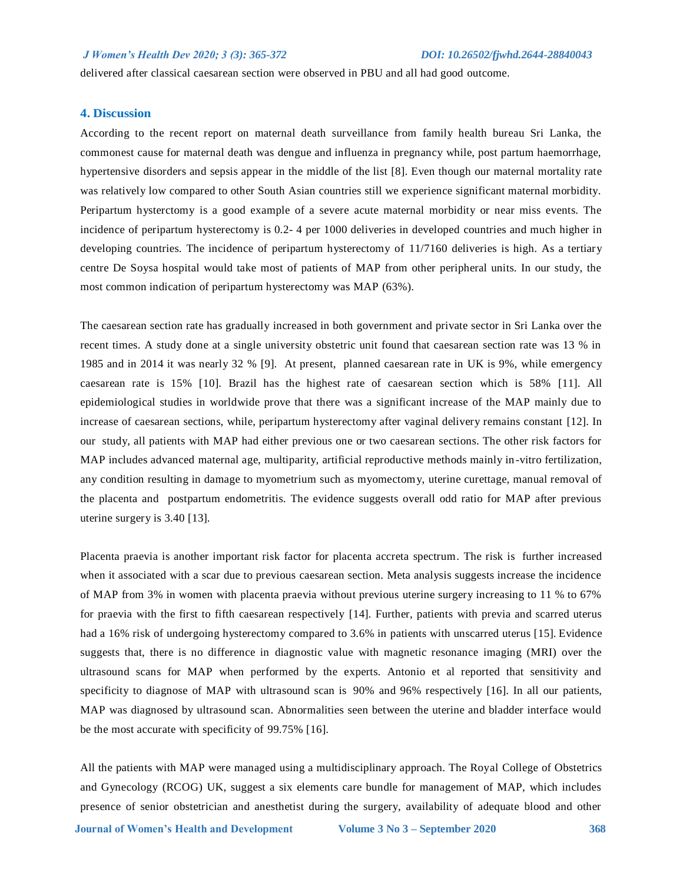delivered after classical caesarean section were observed in PBU and all had good outcome.

### **4. Discussion**

According to the recent report on maternal death surveillance from family health bureau Sri Lanka, the commonest cause for maternal death was dengue and influenza in pregnancy while, post partum haemorrhage, hypertensive disorders and sepsis appear in the middle of the list [8]. Even though our maternal mortality rate was relatively low compared to other South Asian countries still we experience significant maternal morbidity. Peripartum hysterctomy is a good example of a severe acute maternal morbidity or near miss events. The incidence of peripartum hysterectomy is 0.2- 4 per 1000 deliveries in developed countries and much higher in developing countries. The incidence of peripartum hysterectomy of 11/7160 deliveries is high. As a tertiary centre De Soysa hospital would take most of patients of MAP from other peripheral units. In our study, the most common indication of peripartum hysterectomy was MAP (63%).

The caesarean section rate has gradually increased in both government and private sector in Sri Lanka over the recent times. A study done at a single university obstetric unit found that caesarean section rate was 13 % in 1985 and in 2014 it was nearly 32 % [9]. At present, planned caesarean rate in UK is 9%, while emergency caesarean rate is 15% [10]. Brazil has the highest rate of caesarean section which is 58% [11]. All epidemiological studies in worldwide prove that there was a significant increase of the MAP mainly due to increase of caesarean sections, while, peripartum hysterectomy after vaginal delivery remains constant [12]. In our study, all patients with MAP had either previous one or two caesarean sections. The other risk factors for MAP includes advanced maternal age, multiparity, artificial reproductive methods mainly in -vitro fertilization, any condition resulting in damage to myometrium such as myomectomy, uterine curettage, manual removal of the placenta and postpartum endometritis. The evidence suggests overall odd ratio for MAP after previous uterine surgery is 3.40 [13].

Placenta praevia is another important risk factor for placenta accreta spectrum. The risk is further increased when it associated with a scar due to previous caesarean section. Meta analysis suggests increase the incidence of MAP from 3% in women with placenta praevia without previous uterine surgery increasing to 11 % to 67% for praevia with the first to fifth caesarean respectively [14]. Further, patients with previa and scarred uterus had a 16% risk of undergoing hysterectomy compared to 3.6% in patients with unscarred uterus [15]. Evidence suggests that, there is no difference in diagnostic value with magnetic resonance imaging (MRI) over the ultrasound scans for MAP when performed by the experts. Antonio et al reported that sensitivity and specificity to diagnose of MAP with ultrasound scan is 90% and 96% respectively [16]. In all our patients, MAP was diagnosed by ultrasound scan. Abnormalities seen between the uterine and bladder interface would be the most accurate with specificity of 99.75% [16].

All the patients with MAP were managed using a multidisciplinary approach. The Royal College of Obstetrics and Gynecology (RCOG) UK, suggest a six elements care bundle for management of MAP, which includes presence of senior obstetrician and anesthetist during the surgery, availability of adequate blood and other

 **Journal of Women's Health and Development Volume 3 No 3 – September 2020 368**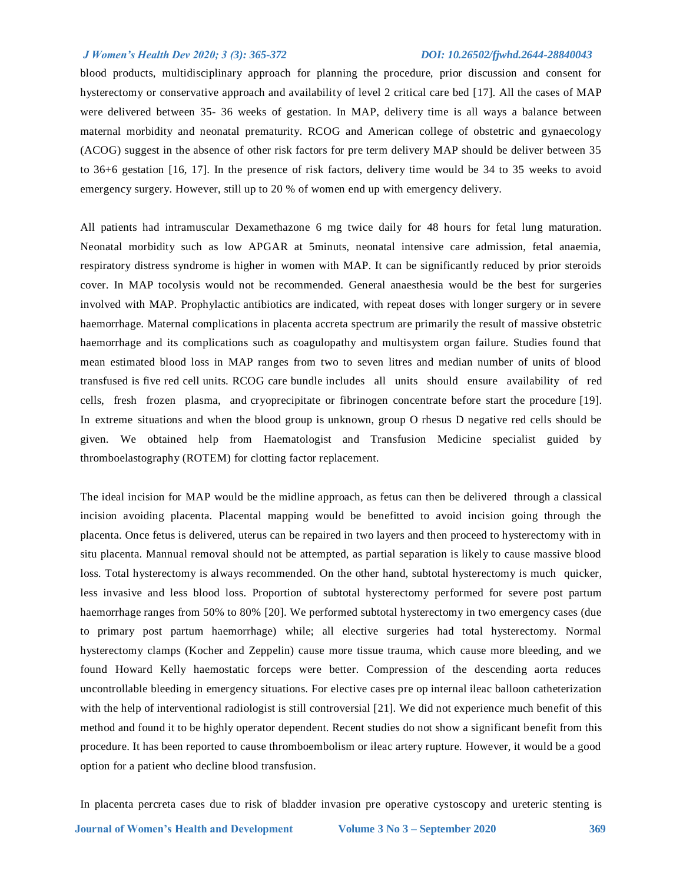blood products, multidisciplinary approach for planning the procedure, prior discussion and consent for hysterectomy or conservative approach and availability of level 2 critical care bed [17]. All the cases of MAP were delivered between 35- 36 weeks of gestation. In MAP, delivery time is all ways a balance between maternal morbidity and neonatal prematurity. RCOG and American college of obstetric and gynaecology (ACOG) suggest in the absence of other risk factors for pre term delivery MAP should be deliver between 35 to 36+6 gestation [16, 17]. In the presence of risk factors, delivery time would be 34 to 35 weeks to avoid emergency surgery. However, still up to 20 % of women end up with emergency delivery.

All patients had intramuscular Dexamethazone 6 mg twice daily for 48 hours for fetal lung maturation. Neonatal morbidity such as low APGAR at 5minuts, neonatal intensive care admission, fetal anaemia, respiratory distress syndrome is higher in women with MAP. It can be significantly reduced by prior steroids cover. In MAP tocolysis would not be recommended. General anaesthesia would be the best for surgeries involved with MAP. Prophylactic antibiotics are indicated, with repeat doses with longer surgery or in severe haemorrhage. Maternal complications in placenta accreta spectrum are primarily the result of massive obstetric haemorrhage and its complications such as coagulopathy and multisystem organ failure. Studies found that mean estimated blood loss in MAP ranges from two to seven litres and median number of units of blood transfused is five red cell units. RCOG care bundle includes all units should ensure availability of red cells, fresh frozen plasma, and cryoprecipitate or fibrinogen concentrate before start the procedure [19]. In extreme situations and when the blood group is unknown, group O rhesus D negative red cells should be given. We obtained help from Haematologist and Transfusion Medicine specialist guided by thromboelastography (ROTEM) for clotting factor replacement.

The ideal incision for MAP would be the midline approach, as fetus can then be delivered through a classical incision avoiding placenta. Placental mapping would be benefitted to avoid incision going through the placenta. Once fetus is delivered, uterus can be repaired in two layers and then proceed to hysterectomy with in situ placenta. Mannual removal should not be attempted, as partial separation is likely to cause massive blood loss. Total hysterectomy is always recommended. On the other hand, subtotal hysterectomy is much quicker, less invasive and less blood loss. Proportion of subtotal hysterectomy performed for severe post partum haemorrhage ranges from 50% to 80% [20]. We performed subtotal hysterectomy in two emergency cases (due to primary post partum haemorrhage) while; all elective surgeries had total hysterectomy. Normal hysterectomy clamps (Kocher and Zeppelin) cause more tissue trauma, which cause more bleeding, and we found Howard Kelly haemostatic forceps were better. Compression of the descending aorta reduces uncontrollable bleeding in emergency situations. For elective cases pre op internal ileac balloon catheterization with the help of interventional radiologist is still controversial [21]. We did not experience much benefit of this method and found it to be highly operator dependent. Recent studies do not show a significant benefit from this procedure. It has been reported to cause thromboembolism or ileac artery rupture. However, it would be a good option for a patient who decline blood transfusion.

In placenta percreta cases due to risk of bladder invasion pre operative cystoscopy and ureteric stenting is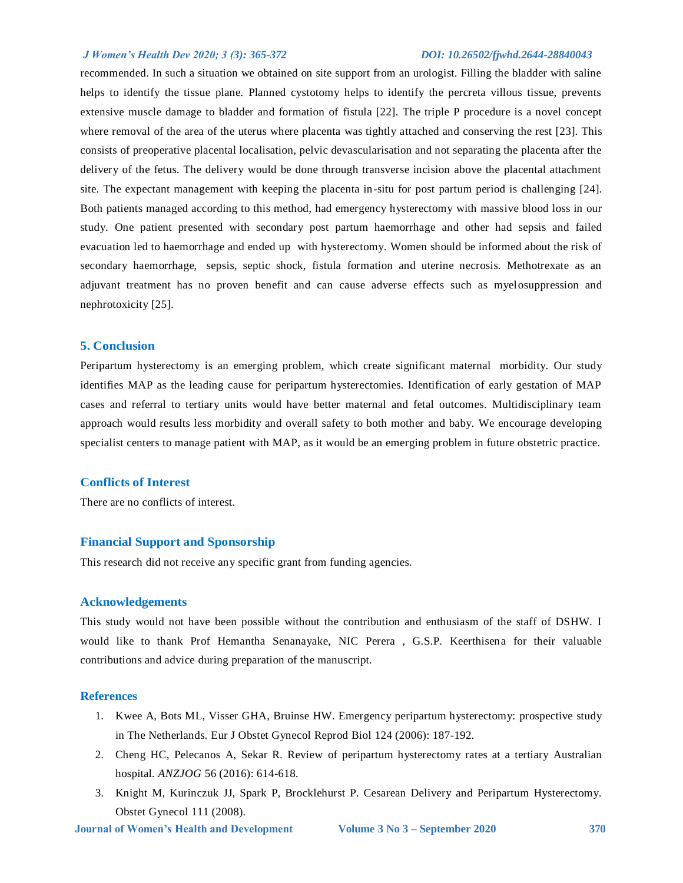recommended. In such a situation we obtained on site support from an urologist. Filling the bladder with saline helps to identify the tissue plane. Planned cystotomy helps to identify the percreta villous tissue, prevents extensive muscle damage to bladder and formation of fistula [22]. The triple P procedure is a novel concept where removal of the area of the uterus where placenta was tightly attached and conserving the rest [23]. This consists of preoperative placental localisation, pelvic devascularisation and not separating the placenta after the delivery of the fetus. The delivery would be done through transverse incision above the placental attachment site. The expectant management with keeping the placenta in-situ for post partum period is challenging [24]. Both patients managed according to this method, had emergency hysterectomy with massive blood loss in our study. One patient presented with secondary post partum haemorrhage and other had sepsis and failed evacuation led to haemorrhage and ended up with hysterectomy. Women should be informed about the risk of secondary haemorrhage, sepsis, septic shock, fistula formation and uterine necrosis. Methotrexate as an adjuvant treatment has no proven benefit and can cause adverse effects such as myelosuppression and nephrotoxicity [25].

### **5. Conclusion**

Peripartum hysterectomy is an emerging problem, which create significant maternal morbidity. Our study identifies MAP as the leading cause for peripartum hysterectomies. Identification of early gestation of MAP cases and referral to tertiary units would have better maternal and fetal outcomes. Multidisciplinary team approach would results less morbidity and overall safety to both mother and baby. We encourage developing specialist centers to manage patient with MAP, as it would be an emerging problem in future obstetric practice.

### **Conflicts of Interest**

There are no conflicts of interest.

### **Financial Support and Sponsorship**

This research did not receive any specific grant from funding agencies.

### **Acknowledgements**

This study would not have been possible without the contribution and enthusiasm of the staff of DSHW. I would like to thank Prof Hemantha Senanayake, NIC Perera , G.S.P. Keerthisena for their valuable contributions and advice during preparation of the manuscript.

### **References**

- 1. Kwee A, Bots ML, Visser GHA, Bruinse HW. Emergency peripartum hysterectomy: prospective study in The Netherlands. Eur J Obstet Gynecol Reprod Biol 124 (2006): 187-192.
- 2. Cheng HC, Pelecanos A, Sekar R. Review of peripartum hysterectomy rates at a tertiary Australian hospital. *ANZJOG* 56 (2016): 614-618.
- 3. Knight M, Kurinczuk JJ, Spark P, Brocklehurst P. Cesarean Delivery and Peripartum Hysterectomy. Obstet Gynecol 111 (2008).

 **Journal of Women's Health and Development Volume 3 No 3 – September 2020 370**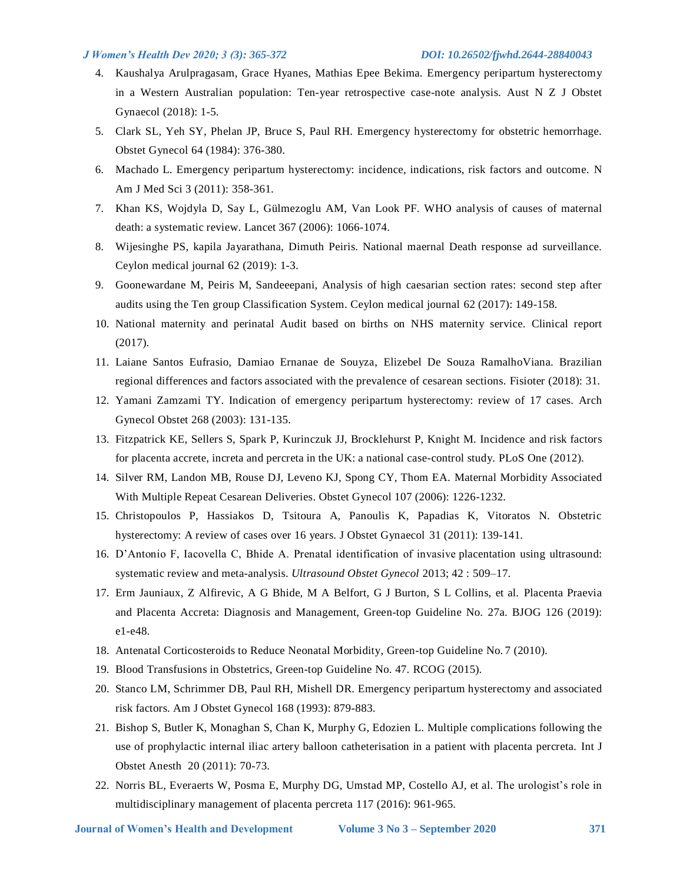- 4. Kaushalya Arulpragasam, Grace Hyanes, Mathias Epee Bekima. Emergency peripartum hysterectomy in a Western Australian population: Ten-year retrospective case-note analysis. Aust N Z J Obstet Gynaecol (2018): 1-5.
- 5. Clark SL, Yeh SY, Phelan JP, Bruce S, Paul RH. Emergency hysterectomy for obstetric hemorrhage. Obstet Gynecol 64 (1984): 376-380.
- 6. Machado L. Emergency peripartum hysterectomy: incidence, indications, risk factors and outcome. N Am J Med Sci 3 (2011): 358-361.
- 7. Khan KS, Wojdyla D, Say L, Gülmezoglu AM, Van Look PF. WHO analysis of causes of maternal death: a systematic review. Lancet 367 (2006): 1066-1074.
- 8. Wijesinghe PS, kapila Jayarathana, Dimuth Peiris. National maernal Death response ad surveillance. Ceylon medical journal 62 (2019): 1-3.
- 9. Goonewardane M, Peiris M, Sandeeepani, Analysis of high caesarian section rates: second step after audits using the Ten group Classification System. Ceylon medical journal 62 (2017): 149-158.
- 10. National maternity and perinatal Audit based on births on NHS maternity service. Clinical report (2017).
- 11. Laiane Santos Eufrasio, Damiao Ernanae de Souyza, Elizebel De Souza RamalhoViana. Brazilian regional differences and factors associated with the prevalence of cesarean sections. Fisioter (2018): 31.
- 12. Yamani Zamzami TY. Indication of emergency peripartum hysterectomy: review of 17 cases. Arch Gynecol Obstet 268 (2003): 131-135.
- 13. Fitzpatrick KE, Sellers S, Spark P, Kurinczuk JJ, Brocklehurst P, Knight M. Incidence and risk factors for placenta accrete, increta and percreta in the UK: a national case-control study. PLoS One (2012).
- 14. Silver RM, Landon MB, Rouse DJ, Leveno KJ, Spong CY, Thom EA. Maternal Morbidity Associated With Multiple Repeat Cesarean Deliveries. Obstet Gynecol 107 (2006): 1226-1232.
- 15. Christopoulos P, Hassiakos D, Tsitoura A, Panoulis K, Papadias K, Vitoratos N. Obstetric hysterectomy: A review of cases over 16 years. J Obstet Gynaecol 31 (2011): 139-141.
- 16. D'Antonio F, Iacovella C, Bhide A. Prenatal identification of invasive placentation using ultrasound: systematic review and meta-analysis. *Ultrasound Obstet Gynecol* 2013; 42 : 509–17.
- 17. Erm Jauniaux, Z Alfirevic, A G Bhide, M A Belfort, G J Burton, S L Collins, et al. Placenta Praevia and Placenta Accreta: Diagnosis and Management, Green-top Guideline No. 27a. BJOG 126 (2019): e1-e48.
- 18. Antenatal Corticosteroids to Reduce Neonatal Morbidity, Green-top Guideline No. 7 (2010).
- 19. Blood Transfusions in Obstetrics, Green-top Guideline No. 47. RCOG (2015).
- 20. Stanco LM, Schrimmer DB, Paul RH, Mishell DR. Emergency peripartum hysterectomy and associated risk factors. Am J Obstet Gynecol 168 (1993): 879-883.
- 21. Bishop S, Butler K, Monaghan S, Chan K, Murphy G, Edozien L. Multiple complications following the use of prophylactic internal iliac artery balloon catheterisation in a patient with placenta percreta. Int J Obstet Anesth 20 (2011): 70-73.
- 22. Norris BL, Everaerts W, Posma E, Murphy DG, Umstad MP, Costello AJ, et al. The urologist's role in multidisciplinary management of placenta percreta 117 (2016): 961-965.